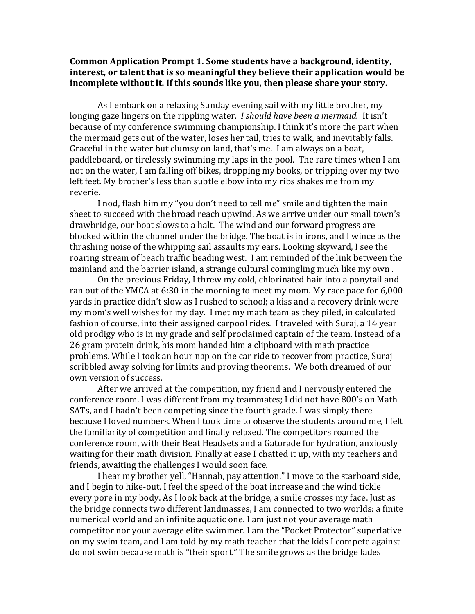## **Common Application Prompt 1. Some students have a background, identity, interest, or talent that is so meaningful they believe their application would be incomplete without it. If this sounds like you, then please share your story.**

As I embark on a relaxing Sunday evening sail with my little brother, my longing gaze lingers on the rippling water. *I should have been a mermaid.* It isn't because of my conference swimming championship. I think it's more the part when the mermaid gets out of the water, loses her tail, tries to walk, and inevitably falls. Graceful in the water but clumsy on land, that's me. I am always on a boat, paddleboard, or tirelessly swimming my laps in the pool. The rare times when I am not on the water, I am falling off bikes, dropping my books, or tripping over my two left feet. My brother's less than subtle elbow into my ribs shakes me from my reverie.

I nod, flash him my "you don't need to tell me" smile and tighten the main sheet to succeed with the broad reach upwind. As we arrive under our small town's drawbridge, our boat slows to a halt. The wind and our forward progress are blocked within the channel under the bridge. The boat is in irons, and I wince as the thrashing noise of the whipping sail assaults my ears. Looking skyward, I see the roaring stream of beach traffic heading west. I am reminded of the link between the mainland and the barrier island, a strange cultural comingling much like my own .

On the previous Friday, I threw my cold, chlorinated hair into a ponytail and ran out of the YMCA at 6:30 in the morning to meet my mom. My race pace for 6,000 yards in practice didn't slow as I rushed to school; a kiss and a recovery drink were my mom's well wishes for my day. I met my math team as they piled, in calculated fashion of course, into their assigned carpool rides. I traveled with Suraj, a 14 year old prodigy who is in my grade and self proclaimed captain of the team. Instead of a 26 gram protein drink, his mom handed him a clipboard with math practice problems. While I took an hour nap on the car ride to recover from practice, Suraj scribbled away solving for limits and proving theorems. We both dreamed of our own version of success.

After we arrived at the competition, my friend and I nervously entered the conference room. I was different from my teammates; I did not have 800's on Math SATs, and I hadn't been competing since the fourth grade. I was simply there because I loved numbers. When I took time to observe the students around me, I felt the familiarity of competition and finally relaxed. The competitors roamed the conference room, with their Beat Headsets and a Gatorade for hydration, anxiously waiting for their math division. Finally at ease I chatted it up, with my teachers and friends, awaiting the challenges I would soon face.

I hear my brother yell, "Hannah, pay attention." I move to the starboard side, and I begin to hike-out. I feel the speed of the boat increase and the wind tickle every pore in my body. As I look back at the bridge, a smile crosses my face. Just as the bridge connects two different landmasses, I am connected to two worlds: a finite numerical world and an infinite aquatic one. I am just not your average math competitor nor your average elite swimmer. I am the "Pocket Protector" superlative on my swim team, and I am told by my math teacher that the kids I compete against do not swim because math is "their sport." The smile grows as the bridge fades